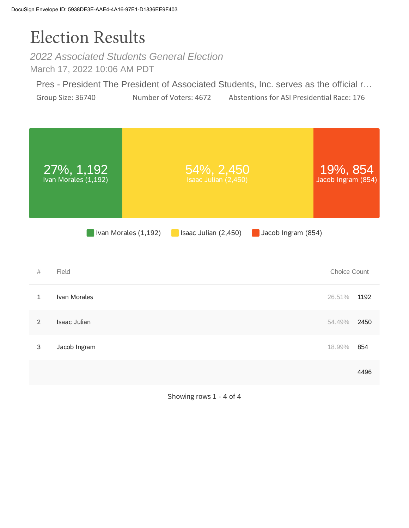## Election Results

*2022 Associated Students General Election* March 17, 2022 10:06 AM PDT

Pres - President The President of Associated Students, Inc. serves as the official r… Group Size: 36740 Number of Voters: 4672 Abstentions for ASI Presidential Race: 176



Showing rows 1 - 4 of 4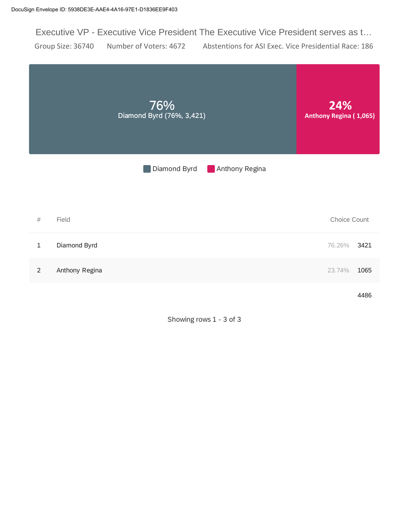Executive VP - Executive Vice President The Executive Vice President serves as t… Group Size: 36740 Number of Voters: 4672 Abstentions for ASI Exec. Vice Presidential Race: 186



Showing rows 1 - 3 of 3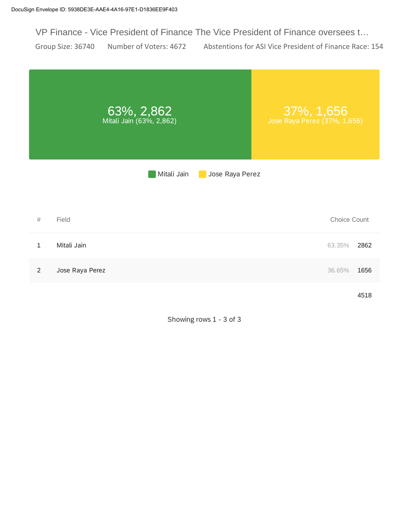VP Finance - Vice President of Finance The Vice President of Finance oversees t…

Group Size: 36740 Number of Voters: 4672 Abstentions for ASI Vice President of Finance Race: 154

|                | 63%, 2,862<br>Mitali Jain (63%, 2,862) | 37%, 1,656<br>Jose Raya Perez (37%, 1,656) |
|----------------|----------------------------------------|--------------------------------------------|
|                | Mitali Jain                            | Jose Raya Perez                            |
|                |                                        |                                            |
| $\#$           | Field                                  | Choice Count                               |
| $\mathbf{1}$   | Mitali Jain                            | 2862<br>63.35%                             |
| $\overline{2}$ | Jose Raya Perez                        | 36.65%<br>1656                             |
|                |                                        | 4518                                       |

Showing rows 1 - 3 of 3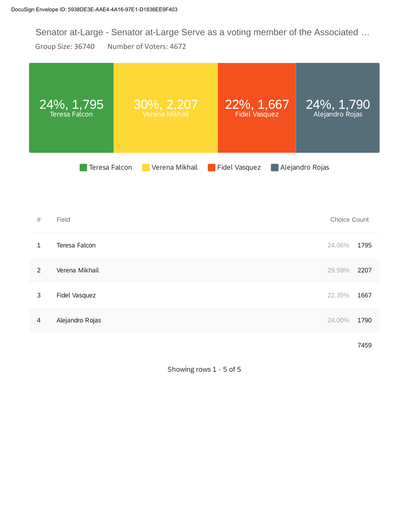Senator at-Large - Senator at-Large Serve as a voting member of the Associated …

Group Size: 36740 Number of Voters: 4672

|                | $24\%$ , 1,795<br><b>Teresa Falcon</b> | 30%, 2,207<br>Verena Mikhail | 22%, 1,667<br>Fidel Vasquez |                 | 24%, 1,790<br>Alejandro Rojas |      |
|----------------|----------------------------------------|------------------------------|-----------------------------|-----------------|-------------------------------|------|
|                | Teresa Falcon                          | Verena Mikhail               | Fidel Vasquez               | Alejandro Rojas |                               |      |
| #              | Field                                  |                              |                             |                 | Choice Count                  |      |
| $\mathbf{1}$   | Teresa Falcon                          |                              |                             |                 | 24.06%                        | 1795 |
| $\overline{2}$ | Verena Mikhail                         |                              |                             |                 | 29.59%                        | 2207 |
| 3              | Fidel Vasquez                          |                              |                             |                 | 22.35%                        | 1667 |
| 4              | Alejandro Rojas                        |                              |                             |                 | 24.00%                        | 1790 |
|                |                                        |                              |                             |                 |                               |      |

Showing rows 1 - 5 of 5

7459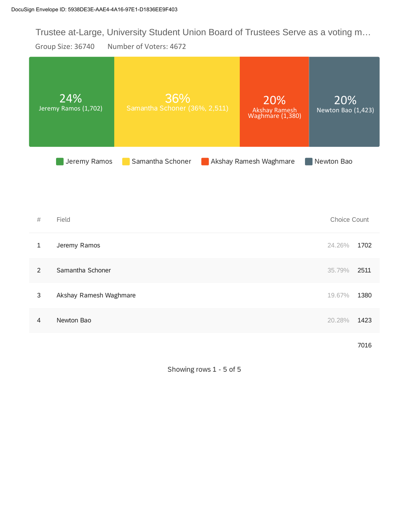Trustee at-Large, University Student Union Board of Trustees Serve as a voting m…

Group Size: 36740 Number of Voters: 4672

|                | 24%<br>Jeremy Ramos (1,702) | 36%<br>Samantha Schoner (36%, 2,511) | 20%<br>Akshay Ramesh<br>Waghmare (1,380) | 20%<br>Newton Bao (1,423) |      |
|----------------|-----------------------------|--------------------------------------|------------------------------------------|---------------------------|------|
|                | Jeremy Ramos                | Samantha Schoner                     | Akshay Ramesh Waghmare                   | Newton Bao                |      |
|                |                             |                                      |                                          |                           |      |
| $\#$           | Field                       |                                      |                                          | Choice Count              |      |
| $\mathbf{1}$   | Jeremy Ramos                |                                      |                                          | 24.26%                    | 1702 |
| $\overline{2}$ | Samantha Schoner            |                                      |                                          | 35.79%                    | 2511 |
| 3              | Akshay Ramesh Waghmare      |                                      |                                          | 19.67%                    | 1380 |
| 4              | Newton Bao                  |                                      |                                          | 20.28%                    | 1423 |
|                |                             |                                      |                                          |                           | 7016 |

Showing rows 1 - 5 of 5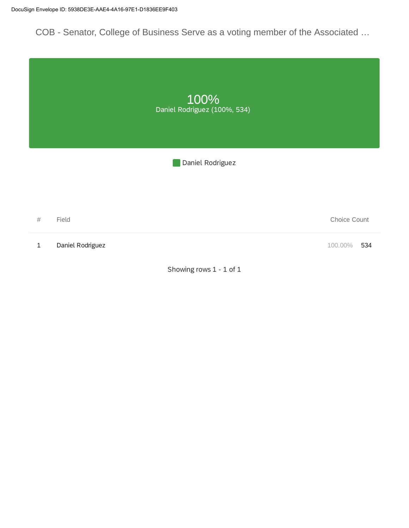COB - Senator, College of Business Serve as a voting member of the Associated …

|              |                  | 100%<br>Daniel Rodriguez (100%, 534) |                |
|--------------|------------------|--------------------------------------|----------------|
|              |                  | Daniel Rodriguez                     |                |
|              |                  |                                      |                |
| $\#$         | Field            |                                      | Choice Count   |
| $\mathbf{1}$ | Daniel Rodriguez |                                      | 100.00%<br>534 |
|              |                  | Showing rows 1 - 1 of 1              |                |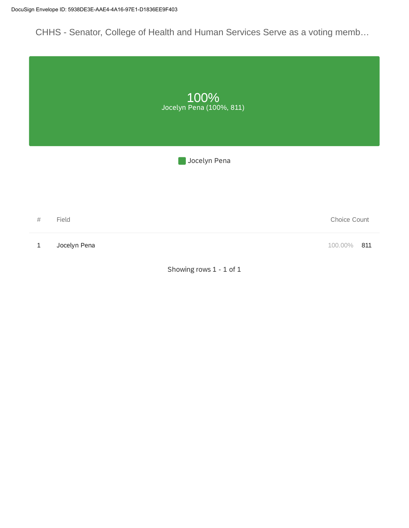CHHS - Senator, College of Health and Human Services Serve as a voting memb…

|              |              | 100%<br>Jocelyn Pena (100%, 811) |                |
|--------------|--------------|----------------------------------|----------------|
|              |              | Jocelyn Pena                     |                |
|              |              |                                  |                |
| $\#$         | Field        |                                  | Choice Count   |
| $\mathbf{1}$ | Jocelyn Pena |                                  | 100.00%<br>811 |
|              |              | Showing rows 1 - 1 of 1          |                |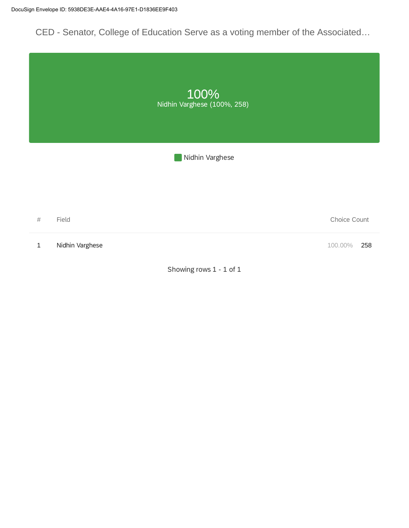CED - Senator, College of Education Serve as a voting member of the Associated…

|             |                 | 100%<br>Nidhin Varghese (100%, 258) |                |
|-------------|-----------------|-------------------------------------|----------------|
|             |                 | Nidhin Varghese                     |                |
|             |                 |                                     |                |
| $\#$        | Field           |                                     | Choice Count   |
| $\mathbf 1$ | Nidhin Varghese |                                     | 100.00%<br>258 |
|             |                 | Showing rows 1 - 1 of 1             |                |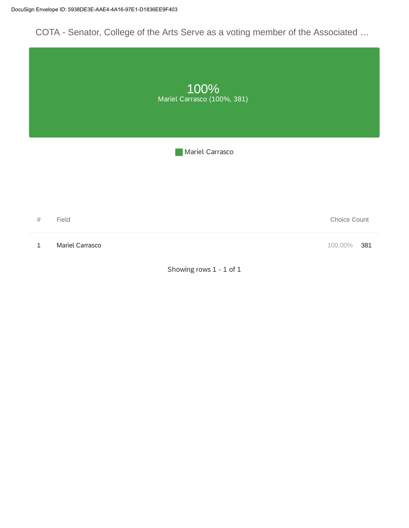COTA - Senator, College of the Arts Serve as a voting member of the Associated …

|       |                 | 100%<br>Mariel Carrasco (100%, 381) |                |
|-------|-----------------|-------------------------------------|----------------|
|       |                 | Mariel Carrasco                     |                |
|       |                 |                                     |                |
|       |                 |                                     |                |
| $\#$  | Field           |                                     | Choice Count   |
| $1\,$ | Mariel Carrasco |                                     | 100.00%<br>381 |
|       |                 | Showing rows 1 - 1 of 1             |                |